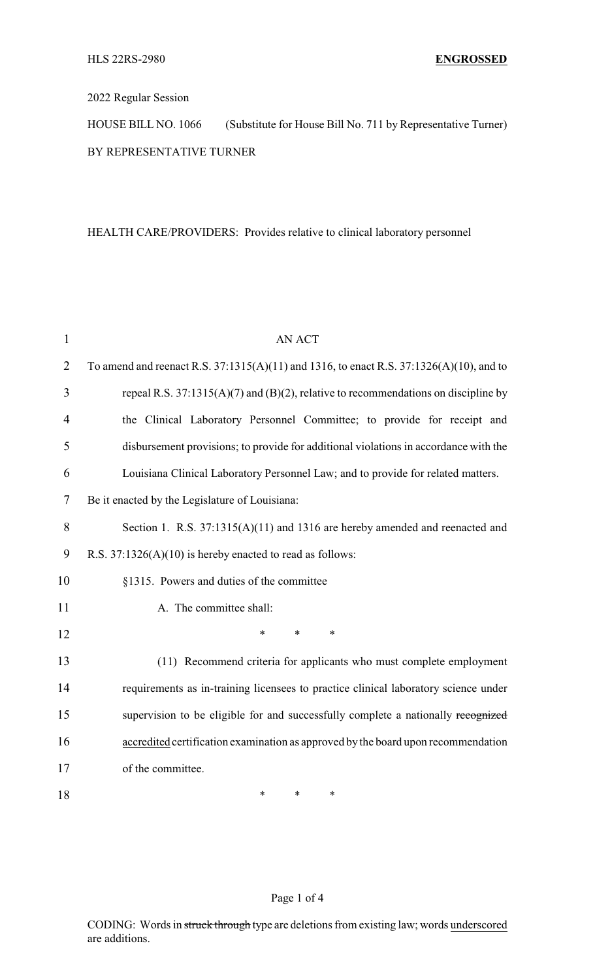## 2022 Regular Session

HOUSE BILL NO. 1066 (Substitute for House Bill No. 711 by Representative Turner) BY REPRESENTATIVE TURNER

## HEALTH CARE/PROVIDERS: Provides relative to clinical laboratory personnel

| $\mathbf{1}$   | <b>AN ACT</b>                                                                           |  |  |
|----------------|-----------------------------------------------------------------------------------------|--|--|
| $\overline{2}$ | To amend and reenact R.S. 37:1315(A)(11) and 1316, to enact R.S. 37:1326(A)(10), and to |  |  |
| 3              | repeal R.S. $37:1315(A)(7)$ and (B)(2), relative to recommendations on discipline by    |  |  |
| $\overline{4}$ | the Clinical Laboratory Personnel Committee; to provide for receipt and                 |  |  |
| 5              | disbursement provisions; to provide for additional violations in accordance with the    |  |  |
| 6              | Louisiana Clinical Laboratory Personnel Law; and to provide for related matters.        |  |  |
| 7              | Be it enacted by the Legislature of Louisiana:                                          |  |  |
| 8              | Section 1. R.S. 37:1315(A)(11) and 1316 are hereby amended and reenacted and            |  |  |
| 9              | R.S. $37:1326(A)(10)$ is hereby enacted to read as follows:                             |  |  |
| 10             | §1315. Powers and duties of the committee                                               |  |  |
| 11             | A. The committee shall:                                                                 |  |  |
| 12             | $\ast$<br>$\ast$<br>$\ast$                                                              |  |  |
| 13             | (11) Recommend criteria for applicants who must complete employment                     |  |  |
| 14             | requirements as in-training licensees to practice clinical laboratory science under     |  |  |
| 15             | supervision to be eligible for and successfully complete a nationally recognized        |  |  |
| 16             | accredited certification examination as approved by the board upon recommendation       |  |  |
| 17             | of the committee.                                                                       |  |  |
| 18             | *<br>*<br>*                                                                             |  |  |

### Page 1 of 4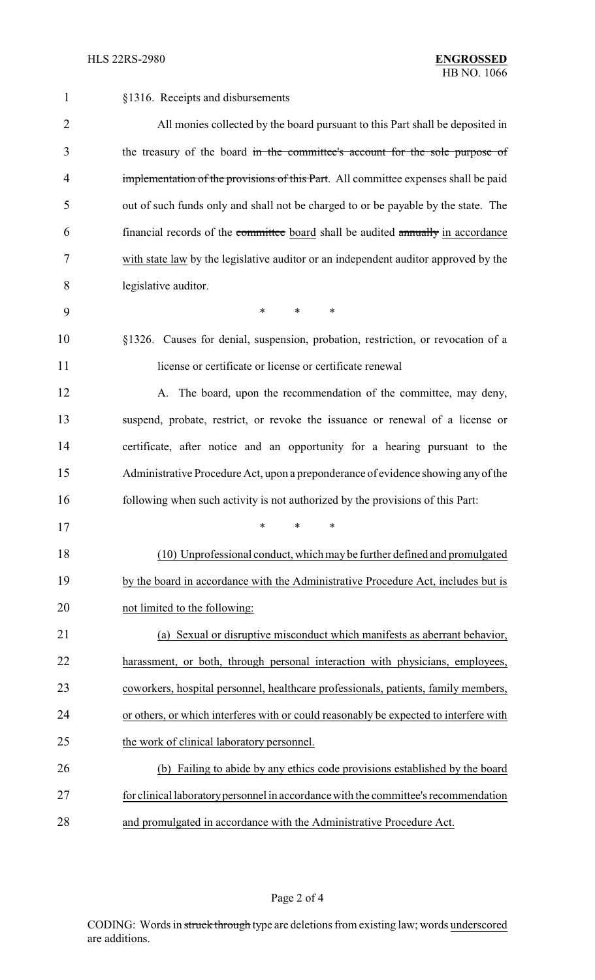| $\mathbf{1}$   | §1316. Receipts and disbursements                                                     |
|----------------|---------------------------------------------------------------------------------------|
| $\overline{2}$ | All monies collected by the board pursuant to this Part shall be deposited in         |
| 3              | the treasury of the board in the committee's account for the sole purpose of          |
| 4              | implementation of the provisions of this Part. All committee expenses shall be paid   |
| 5              | out of such funds only and shall not be charged to or be payable by the state. The    |
| 6              | financial records of the committee board shall be audited annually in accordance      |
| 7              | with state law by the legislative auditor or an independent auditor approved by the   |
| 8              | legislative auditor.                                                                  |
| 9              | $\ast$<br>*<br>∗                                                                      |
| 10             | §1326. Causes for denial, suspension, probation, restriction, or revocation of a      |
| 11             | license or certificate or license or certificate renewal                              |
| 12             | A. The board, upon the recommendation of the committee, may deny,                     |
| 13             | suspend, probate, restrict, or revoke the issuance or renewal of a license or         |
| 14             | certificate, after notice and an opportunity for a hearing pursuant to the            |
| 15             | Administrative Procedure Act, upon a preponderance of evidence showing any of the     |
| 16             | following when such activity is not authorized by the provisions of this Part:        |
| 17             | *<br>*                                                                                |
| 18             | (10) Unprofessional conduct, which may be further defined and promulgated             |
| 19             | by the board in accordance with the Administrative Procedure Act, includes but is     |
| 20             | not limited to the following:                                                         |
| 21             | (a) Sexual or disruptive misconduct which manifests as aberrant behavior,             |
| 22             | harassment, or both, through personal interaction with physicians, employees,         |
| 23             | coworkers, hospital personnel, healthcare professionals, patients, family members,    |
| 24             | or others, or which interferes with or could reasonably be expected to interfere with |
| 25             | the work of clinical laboratory personnel.                                            |
| 26             | Failing to abide by any ethics code provisions established by the board<br>(b)        |
| 27             | for clinical laboratory personnel in accordance with the committee's recommendation   |
| 28             | and promulgated in accordance with the Administrative Procedure Act.                  |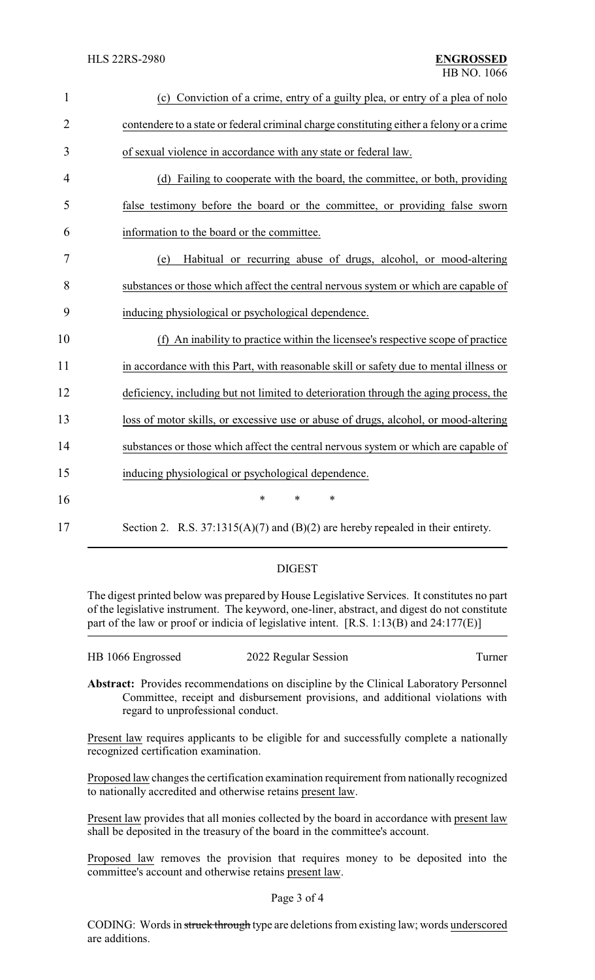| $\mathbf{1}$   | Conviction of a crime, entry of a guilty plea, or entry of a plea of nolo<br>(c)         |
|----------------|------------------------------------------------------------------------------------------|
| $\overline{2}$ | contendere to a state or federal criminal charge constituting either a felony or a crime |
| 3              | of sexual violence in accordance with any state or federal law.                          |
| 4              | (d) Failing to cooperate with the board, the committee, or both, providing               |
| 5              | false testimony before the board or the committee, or providing false sworn              |
| 6              | information to the board or the committee.                                               |
| 7              | Habitual or recurring abuse of drugs, alcohol, or mood-altering<br>(e)                   |
| 8              | substances or those which affect the central nervous system or which are capable of      |
| 9              | inducing physiological or psychological dependence.                                      |
| 10             | An inability to practice within the licensee's respective scope of practice<br>(f)       |
| 11             | in accordance with this Part, with reasonable skill or safety due to mental illness or   |
| 12             | deficiency, including but not limited to deterioration through the aging process, the    |
| 13             | loss of motor skills, or excessive use or abuse of drugs, alcohol, or mood-altering      |
| 14             | substances or those which affect the central nervous system or which are capable of      |
| 15             | inducing physiological or psychological dependence.                                      |
| 16             | $\ast$<br>*<br>$\ast$                                                                    |
| 17             | Section 2. R.S. 37:1315(A)(7) and (B)(2) are hereby repealed in their entirety.          |

# DIGEST

The digest printed below was prepared by House Legislative Services. It constitutes no part of the legislative instrument. The keyword, one-liner, abstract, and digest do not constitute part of the law or proof or indicia of legislative intent. [R.S. 1:13(B) and 24:177(E)]

| HB 1066 Engrossed | 2022 Regular Session | Turner |
|-------------------|----------------------|--------|
|                   |                      |        |

**Abstract:** Provides recommendations on discipline by the Clinical Laboratory Personnel Committee, receipt and disbursement provisions, and additional violations with regard to unprofessional conduct.

Present law requires applicants to be eligible for and successfully complete a nationally recognized certification examination.

Proposed law changes the certification examination requirement from nationally recognized to nationally accredited and otherwise retains present law.

Present law provides that all monies collected by the board in accordance with present law shall be deposited in the treasury of the board in the committee's account.

Proposed law removes the provision that requires money to be deposited into the committee's account and otherwise retains present law.

### Page 3 of 4

CODING: Words in struck through type are deletions from existing law; words underscored are additions.